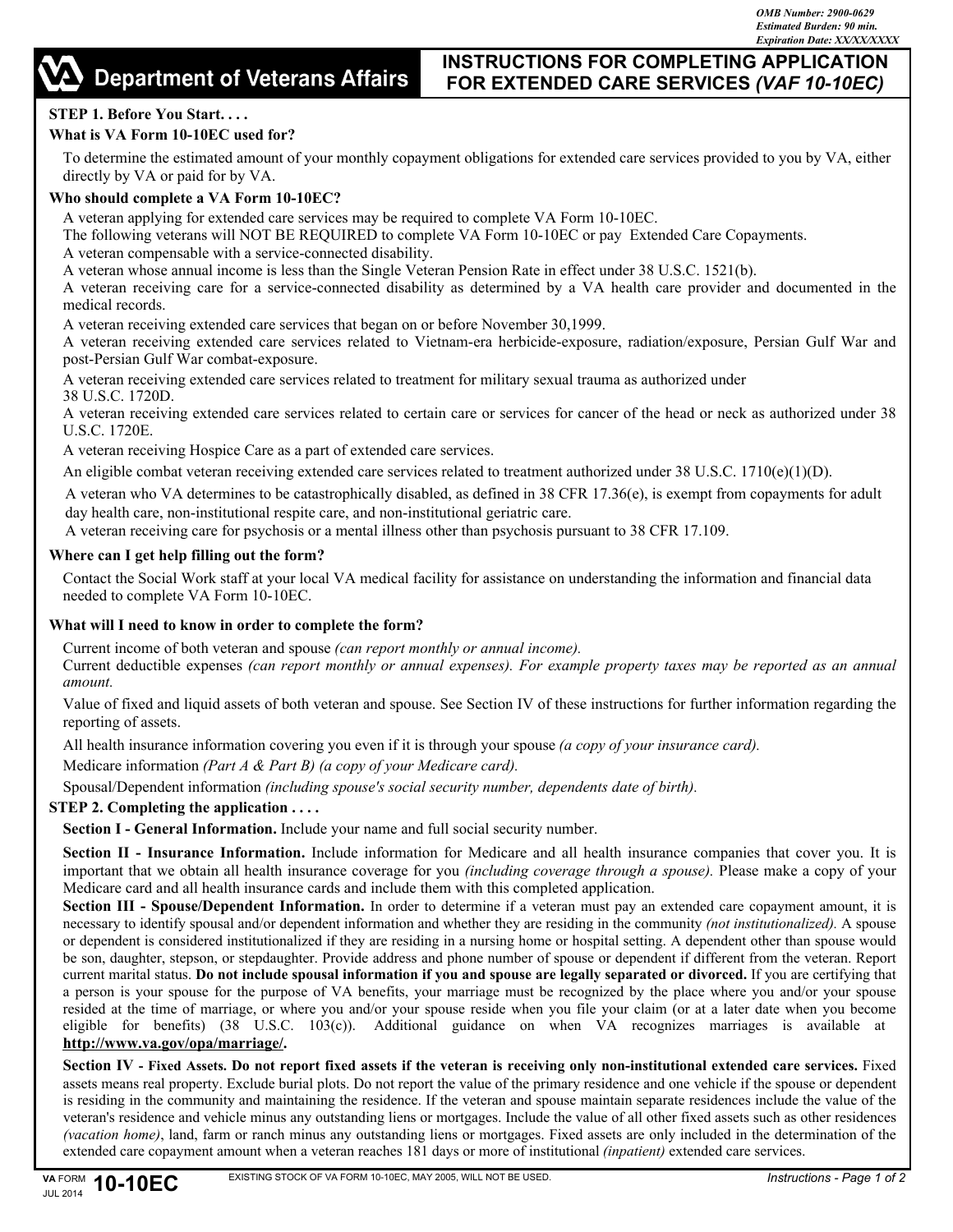# **INSTRUCTIONS FOR COMPLETING APPLICATION FOR EXTENDED CARE SERVICES** *(VAF 10-10EC)*

# **STEP 1. Before You Start. . . .**

# **What is VA Form 10-10EC used for?**

To determine the estimated amount of your monthly copayment obligations for extended care services provided to you by VA, either directly by VA or paid for by VA.

## **Who should complete a VA Form 10-10EC?**

A veteran applying for extended care services may be required to complete VA Form 10-10EC.

The following veterans will NOT BE REQUIRED to complete VA Form 10-10EC or pay Extended Care Copayments.

A veteran compensable with a service-connected disability.

A veteran whose annual income is less than the Single Veteran Pension Rate in effect under 38 U.S.C. 1521(b).

A veteran receiving care for a service-connected disability as determined by a VA health care provider and documented in the medical records.

A veteran receiving extended care services that began on or before November 30,1999.

A veteran receiving extended care services related to Vietnam-era herbicide-exposure, radiation/exposure, Persian Gulf War and post-Persian Gulf War combat-exposure.

A veteran receiving extended care services related to treatment for military sexual trauma as authorized under 38 U.S.C. 1720D.

A veteran receiving extended care services related to certain care or services for cancer of the head or neck as authorized under 38 U.S.C. 1720E.

A veteran receiving Hospice Care as a part of extended care services.

An eligible combat veteran receiving extended care services related to treatment authorized under  $38 \text{ U.S.C. } 1710(\text{e})(1)(\text{D})$ .

A veteran who VA determines to be catastrophically disabled, as defined in 38 CFR 17.36(e), is exempt from copayments for adult day health care, non-institutional respite care, and non-institutional geriatric care.

A veteran receiving care for psychosis or a mental illness other than psychosis pursuant to 38 CFR 17.109.

#### **Where can I get help filling out the form?**

Contact the Social Work staff at your local VA medical facility for assistance on understanding the information and financial data needed to complete VA Form 10-10EC.

#### **What will I need to know in order to complete the form?**

Current income of both veteran and spouse *(can report monthly or annual income).* Current deductible expenses *(can report monthly or annual expenses). For example property taxes may be reported as an annual amount.* 

Value of fixed and liquid assets of both veteran and spouse. See Section IV of these instructions for further information regarding the reporting of assets.

All health insurance information covering you even if it is through your spouse *(a copy of your insurance card).*

Medicare information *(Part A & Part B) (a copy of your Medicare card).*

Spousal/Dependent information *(including spouse's social security number, dependents date of birth).*

#### **STEP 2. Completing the application . . . .**

**Section I - General Information.** Include your name and full social security number.

**Section II - Insurance Information.** Include information for Medicare and all health insurance companies that cover you. It is important that we obtain all health insurance coverage for you *(including coverage through a spouse).* Please make a copy of your Medicare card and all health insurance cards and include them with this completed application.

**Section III - Spouse/Dependent Information.** In order to determine if a veteran must pay an extended care copayment amount, it is necessary to identify spousal and/or dependent information and whether they are residing in the community *(not institutionalized).* A spouse or dependent is considered institutionalized if they are residing in a nursing home or hospital setting. A dependent other than spouse would be son, daughter, stepson, or stepdaughter. Provide address and phone number of spouse or dependent if different from the veteran. Report current marital status. **Do not include spousal information if you and spouse are legally separated or divorced.** If you are certifying that a person is your spouse for the purpose of VA benefits, your marriage must be recognized by the place where you and/or your spouse resided at the time of marriage, or where you and/or your spouse reside when you file your claim (or at a later date when you become eligible for benefits) (38 U.S.C. 103(c)). Additional guidance on when VA recognizes marriages is available at **<http://www.va.gov/opa/marriage/>.**

**Section IV - Fixed Assets. Do not report fixed assets if the veteran is receiving only non-institutional extended care services.** Fixed assets means real property. Exclude burial plots. Do not report the value of the primary residence and one vehicle if the spouse or dependent is residing in the community and maintaining the residence. If the veteran and spouse maintain separate residences include the value of the veteran's residence and vehicle minus any outstanding liens or mortgages. Include the value of all other fixed assets such as other residences *(vacation home)*, land, farm or ranch minus any outstanding liens or mortgages. Fixed assets are only included in the determination of the extended care copayment amount when a veteran reaches 181 days or more of institutional *(inpatient)* extended care services.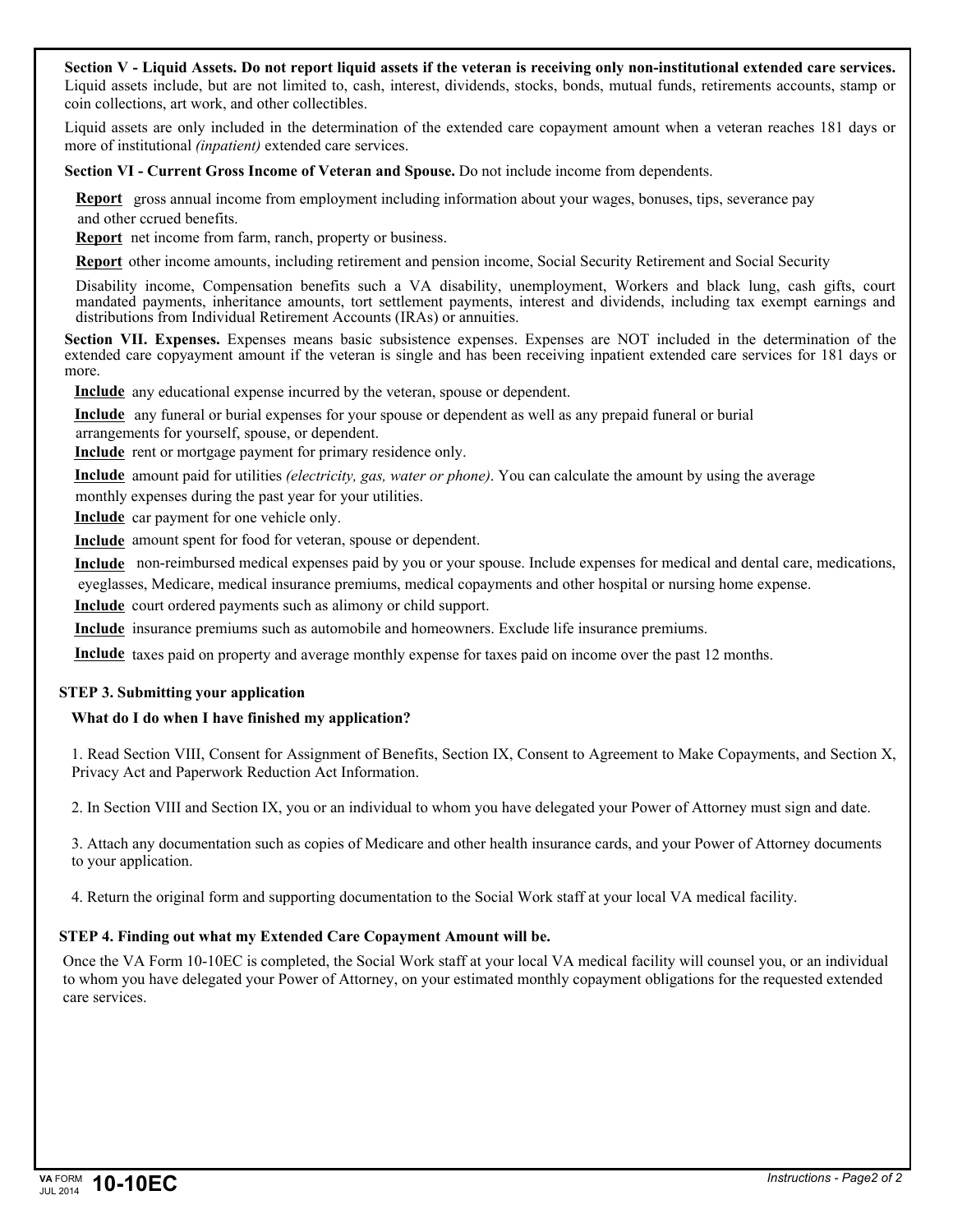#### **Section V - Liquid Assets. Do not report liquid assets if the veteran is receiving only non-institutional extended care services.**  Liquid assets include, but are not limited to, cash, interest, dividends, stocks, bonds, mutual funds, retirements accounts, stamp or coin collections, art work, and other collectibles.

Liquid assets are only included in the determination of the extended care copayment amount when a veteran reaches 181 days or more of institutional *(inpatient)* extended care services.

**Section VI - Current Gross Income of Veteran and Spouse.** Do not include income from dependents.

**Report** gross annual income from employment including information about your wages, bonuses, tips, severance pay and other ccrued benefits.

**Report** net income from farm, ranch, property or business.

**Report** other income amounts, including retirement and pension income, Social Security Retirement and Social Security

Disability income, Compensation benefits such a VA disability, unemployment, Workers and black lung, cash gifts, court mandated payments, inheritance amounts, tort settlement payments, interest and dividends, including tax exempt earnings and distributions from Individual Retirement Accounts (IRAs) or annuities.

**Section VII. Expenses.** Expenses means basic subsistence expenses. Expenses are NOT included in the determination of the extended care copyayment amount if the veteran is single and has been receiving inpatient extended care services for 181 days or more.

**Include** any educational expense incurred by the veteran, spouse or dependent.

**Include** any funeral or burial expenses for your spouse or dependent as well as any prepaid funeral or burial arrangements for yourself, spouse, or dependent.

**Include** rent or mortgage payment for primary residence only.

**Include** amount paid for utilities *(electricity, gas, water or phone)*. You can calculate the amount by using the average

monthly expenses during the past year for your utilities.

**Include** car payment for one vehicle only.

**Include** amount spent for food for veteran, spouse or dependent.

**Include** non-reimbursed medical expenses paid by you or your spouse. Include expenses for medical and dental care, medications, eyeglasses, Medicare, medical insurance premiums, medical copayments and other hospital or nursing home expense.

Include court ordered payments such as alimony or child support.

**Include** insurance premiums such as automobile and homeowners. Exclude life insurance premiums.

**Include** taxes paid on property and average monthly expense for taxes paid on income over the past 12 months.

#### **STEP 3. Submitting your application**

# **What do I do when I have finished my application?**

1. Read Section VIII, Consent for Assignment of Benefits, Section IX, Consent to Agreement to Make Copayments, and Section X, Privacy Act and Paperwork Reduction Act Information.

2. In Section VIII and Section IX, you or an individual to whom you have delegated your Power of Attorney must sign and date.

3. Attach any documentation such as copies of Medicare and other health insurance cards, and your Power of Attorney documents to your application.

4. Return the original form and supporting documentation to the Social Work staff at your local VA medical facility.

# **STEP 4. Finding out what my Extended Care Copayment Amount will be.**

Once the VA Form 10-10EC is completed, the Social Work staff at your local VA medical facility will counsel you, or an individual to whom you have delegated your Power of Attorney, on your estimated monthly copayment obligations for the requested extended care services.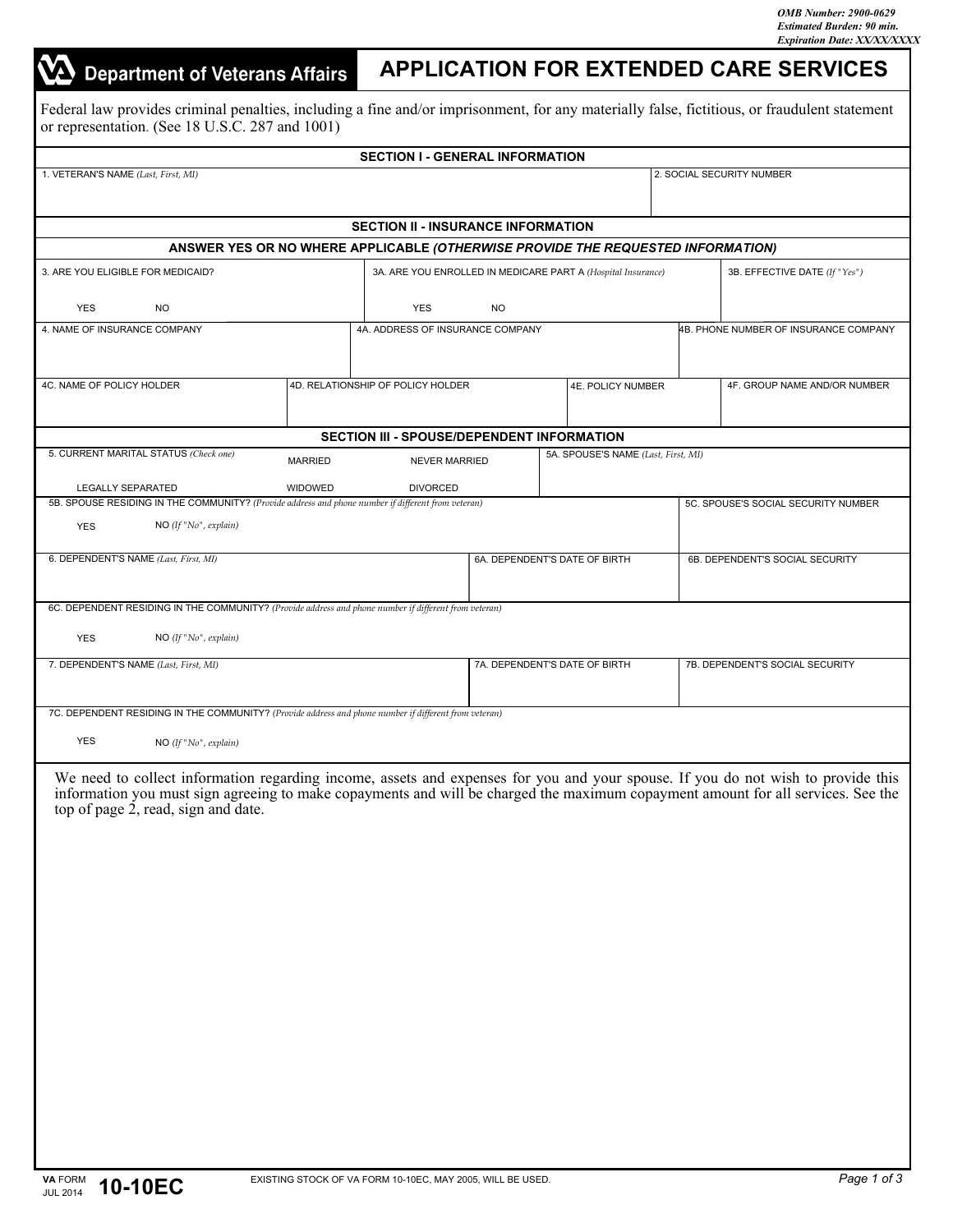# **Department of Veterans Affairs APPLICATION FOR EXTENDED CARE SERVICES** Federal law provides criminal penalties, including a fine and/or imprisonment, for any materially false, fictitious, or fraudulent statement or representation. (See 18 U.S.C. 287 and 1001)**SECTION I - GENERAL INFORMATION** 1. VETERAN'S NAME *(Last, First, MI)* 2. SOCIAL SECURITY NUMBER **SECTION II - INSURANCE INFORMATION ANSWER YES OR NO WHERE APPLICABLE** *(OTHERWISE PROVIDE THE REQUESTED INFORMATION)* 3. ARE YOU ELIGIBLE FOR MEDICAID? 3A. ARE YOU ENROLLED IN MEDICARE PART A *(Hospital Insurance)* 3B. EFFECTIVE DATE *(If "Yes")*  YES NO YES NO 4B. PHONE NUMBER OF INSURANCE COMPANY 4. NAME OF INSURANCE COMPANY 4A. ADDRESS OF INSURANCE COMPANY 4C. NAME OF POLICY HOLDER 4D. RELATIONSHIP OF POLICY HOLDER 4E. POLICY NUMBER 4F. GROUP NAME AND/OR NUMBER **SECTION III - SPOUSE/DEPENDENT INFORMATION** 5. CURRENT MARITAL STATUS *(Check one)*  5A. SPOUSE'S NAME *(Last, First, MI)*  MARRIED NEVER MARRIED LEGALLY SEPARATED WIDOWED DIVORCED 5B. SPOUSE RESIDING IN THE COMMUNITY? *(Provide address and phone number if different from veteran)*  5C. SPOUSE'S SOCIAL SECURITY NUMBER YES NO *(If "No", explain)*  6. DEPENDENT'S NAME (Last, First, MI) **68. DEPENDENT'S DATE OF BIRTH** 6B. DEPENDENT'S SOCIAL SECURITY 6A. DEPENDENT'S DATE OF BIRTH 6C. DEPENDENT RESIDING IN THE COMMUNITY? *(Provide address and phone number if different from veteran)*  YES NO *(If "No", explain)*  7. DEPENDENT'S NAME *(Last, First, MI)* 7B. DEPENDENT'S SOCIAL SECURITY 7A. DEPENDENT'S DATE OF BIRTH 7C. DEPENDENT RESIDING IN THE COMMUNITY? *(Provide address and phone number if different from veteran)*  YES NO *(If "No", explain)*  We need to collect information regarding income, assets and expenses for you and your spouse. If you do not wish to provide this information you must sign agreeing to make copayments and will be charged the maximum copayment amount for all services. See the top of page 2, read, sign and date.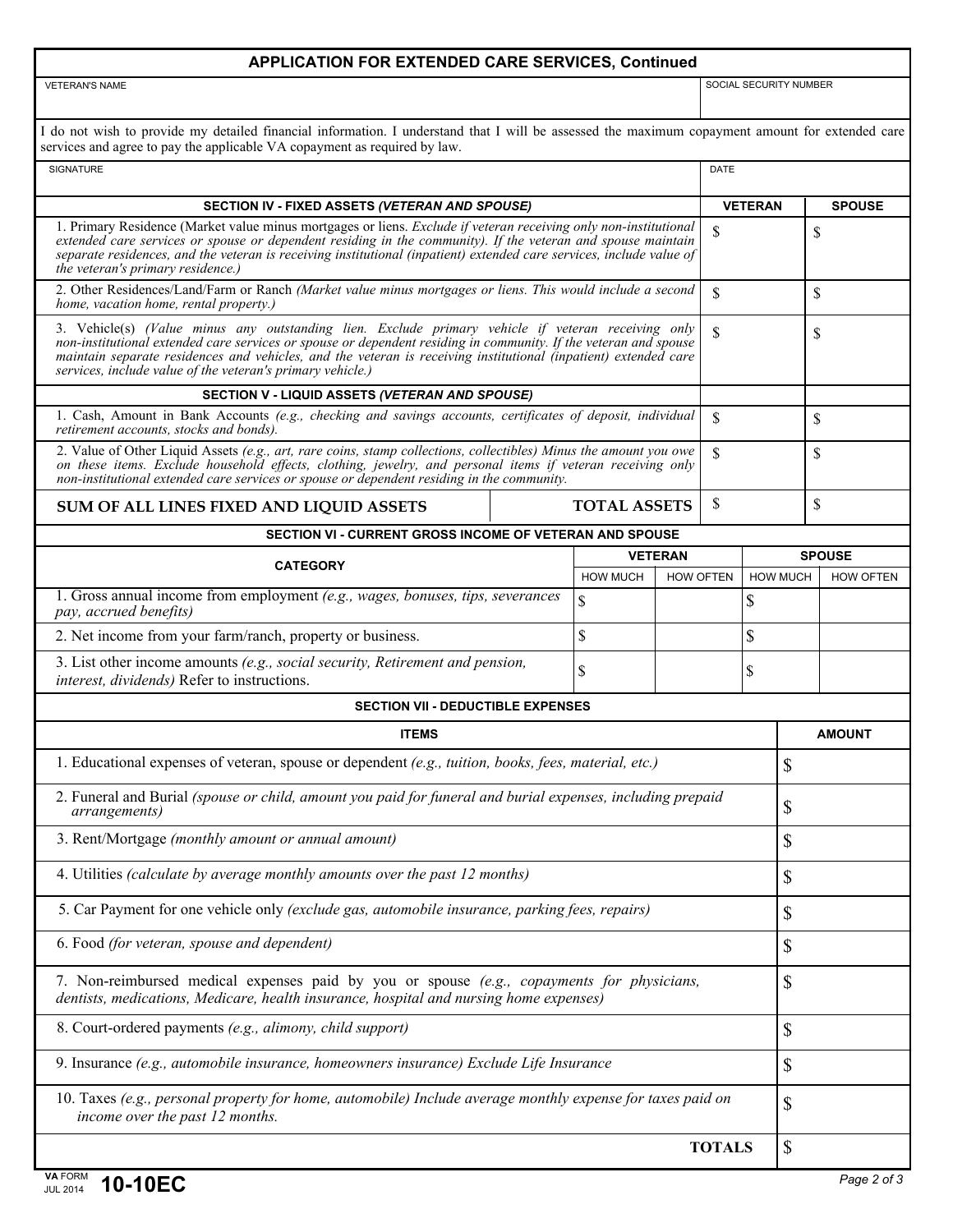## **APPLICATION FOR EXTENDED CARE SERVICES, Continued**

VETERAN'S NAME SOCIAL SECURITY NUMBER

| I do not wish to provide my detailed financial information. I understand that I will be assessed the maximum copayment amount for extended care |  |
|-------------------------------------------------------------------------------------------------------------------------------------------------|--|
| services and agree to pay the applicable VA copayment as required by law.                                                                       |  |

| SIGNATURE                                                                                                                                                                                                                                                                                                                                                                                               |                                                                                                                                                                                                                                                                                                                                                                         |                  | <b>DATE</b>    |                 |               |                  |  |
|---------------------------------------------------------------------------------------------------------------------------------------------------------------------------------------------------------------------------------------------------------------------------------------------------------------------------------------------------------------------------------------------------------|-------------------------------------------------------------------------------------------------------------------------------------------------------------------------------------------------------------------------------------------------------------------------------------------------------------------------------------------------------------------------|------------------|----------------|-----------------|---------------|------------------|--|
| SECTION IV - FIXED ASSETS (VETERAN AND SPOUSE)                                                                                                                                                                                                                                                                                                                                                          |                                                                                                                                                                                                                                                                                                                                                                         |                  | <b>VETERAN</b> |                 |               | <b>SPOUSE</b>    |  |
| the veteran's primary residence.)                                                                                                                                                                                                                                                                                                                                                                       | 1. Primary Residence (Market value minus mortgages or liens. Exclude if veteran receiving only non-institutional<br>$\mathbf S$<br>extended care services or spouse or dependent residing in the community). If the veteran and spouse maintain<br>separate residences, and the veteran is receiving institutional (inpatient) extended care services, include value of |                  |                |                 | \$            |                  |  |
| 2. Other Residences/Land/Farm or Ranch (Market value minus mortgages or liens. This would include a second<br>home, vacation home, rental property.)                                                                                                                                                                                                                                                    |                                                                                                                                                                                                                                                                                                                                                                         |                  |                |                 | \$            |                  |  |
| 3. Vehicle(s) (Value minus any outstanding lien. Exclude primary vehicle if veteran receiving only<br>non-institutional extended care services or spouse or dependent residing in community. If the veteran and spouse<br>maintain separate residences and vehicles, and the veteran is receiving institutional (inpatient) extended care<br>services, include value of the veteran's primary vehicle.) |                                                                                                                                                                                                                                                                                                                                                                         |                  |                |                 | <sup>\$</sup> |                  |  |
| SECTION V - LIQUID ASSETS (VETERAN AND SPOUSE)                                                                                                                                                                                                                                                                                                                                                          |                                                                                                                                                                                                                                                                                                                                                                         |                  |                |                 |               |                  |  |
| 1. Cash, Amount in Bank Accounts (e.g., checking and savings accounts, certificates of deposit, individual<br>retirement accounts, stocks and bonds).                                                                                                                                                                                                                                                   |                                                                                                                                                                                                                                                                                                                                                                         |                  |                | \$              |               | \$               |  |
| 2. Value of Other Liquid Assets (e.g., art, rare coins, stamp collections, collectibles) Minus the amount you owe<br>on these items. Exclude household effects, clothing, jewelry, and personal items if veteran receiving only<br>non-institutional extended care services or spouse or dependent residing in the community.                                                                           |                                                                                                                                                                                                                                                                                                                                                                         |                  |                |                 | \$            |                  |  |
| SUM OF ALL LINES FIXED AND LIQUID ASSETS                                                                                                                                                                                                                                                                                                                                                                | <b>TOTAL ASSETS</b>                                                                                                                                                                                                                                                                                                                                                     |                  | \$             |                 | \$            |                  |  |
| <b>SECTION VI - CURRENT GROSS INCOME OF VETERAN AND SPOUSE</b>                                                                                                                                                                                                                                                                                                                                          |                                                                                                                                                                                                                                                                                                                                                                         |                  |                |                 |               |                  |  |
| <b>CATEGORY</b>                                                                                                                                                                                                                                                                                                                                                                                         |                                                                                                                                                                                                                                                                                                                                                                         | <b>VETERAN</b>   |                |                 |               | <b>SPOUSE</b>    |  |
|                                                                                                                                                                                                                                                                                                                                                                                                         | <b>HOW MUCH</b>                                                                                                                                                                                                                                                                                                                                                         | <b>HOW OFTEN</b> |                | <b>HOW MUCH</b> |               | <b>HOW OFTEN</b> |  |
| 1. Gross annual income from employment (e.g., wages, bonuses, tips, severances<br>pay, accrued benefits)                                                                                                                                                                                                                                                                                                | $\overline{\mathbb{S}}$                                                                                                                                                                                                                                                                                                                                                 |                  |                | \$              |               |                  |  |
| 2. Net income from your farm/ranch, property or business.                                                                                                                                                                                                                                                                                                                                               | \$                                                                                                                                                                                                                                                                                                                                                                      |                  |                |                 | \$            |                  |  |
| 3. List other income amounts (e.g., social security, Retirement and pension,<br>interest, dividends) Refer to instructions.                                                                                                                                                                                                                                                                             | \$                                                                                                                                                                                                                                                                                                                                                                      |                  |                | \$              |               |                  |  |
| <b>SECTION VII - DEDUCTIBLE EXPENSES</b>                                                                                                                                                                                                                                                                                                                                                                |                                                                                                                                                                                                                                                                                                                                                                         |                  |                |                 |               |                  |  |
| <b>ITEMS</b>                                                                                                                                                                                                                                                                                                                                                                                            |                                                                                                                                                                                                                                                                                                                                                                         |                  |                |                 |               | <b>AMOUNT</b>    |  |
| 1. Educational expenses of veteran, spouse or dependent (e.g., tuition, books, fees, material, etc.)                                                                                                                                                                                                                                                                                                    |                                                                                                                                                                                                                                                                                                                                                                         |                  |                |                 | \$            |                  |  |
| 2. Funeral and Burial (spouse or child, amount you paid for funeral and burial expenses, including prepaid<br><i>arrangements</i> )                                                                                                                                                                                                                                                                     |                                                                                                                                                                                                                                                                                                                                                                         |                  |                |                 | \$            |                  |  |
| 3. Rent/Mortgage (monthly amount or annual amount)                                                                                                                                                                                                                                                                                                                                                      |                                                                                                                                                                                                                                                                                                                                                                         |                  |                |                 | \$            |                  |  |
| 4. Utilities (calculate by average monthly amounts over the past 12 months)                                                                                                                                                                                                                                                                                                                             |                                                                                                                                                                                                                                                                                                                                                                         |                  |                |                 | \$            |                  |  |
| 5. Car Payment for one vehicle only (exclude gas, automobile insurance, parking fees, repairs)                                                                                                                                                                                                                                                                                                          |                                                                                                                                                                                                                                                                                                                                                                         |                  |                |                 | \$            |                  |  |
| 6. Food (for veteran, spouse and dependent)                                                                                                                                                                                                                                                                                                                                                             |                                                                                                                                                                                                                                                                                                                                                                         |                  |                |                 | \$            |                  |  |
| 7. Non-reimbursed medical expenses paid by you or spouse (e.g., copayments for physicians,<br>dentists, medications, Medicare, health insurance, hospital and nursing home expenses)                                                                                                                                                                                                                    |                                                                                                                                                                                                                                                                                                                                                                         |                  |                |                 | \$            |                  |  |
| 8. Court-ordered payments (e.g., alimony, child support)                                                                                                                                                                                                                                                                                                                                                |                                                                                                                                                                                                                                                                                                                                                                         |                  |                |                 | \$            |                  |  |
| 9. Insurance (e.g., automobile insurance, homeowners insurance) Exclude Life Insurance                                                                                                                                                                                                                                                                                                                  |                                                                                                                                                                                                                                                                                                                                                                         |                  |                |                 | \$            |                  |  |
| 10. Taxes (e.g., personal property for home, automobile) Include average monthly expense for taxes paid on<br>income over the past 12 months.                                                                                                                                                                                                                                                           |                                                                                                                                                                                                                                                                                                                                                                         |                  |                |                 | \$            |                  |  |
|                                                                                                                                                                                                                                                                                                                                                                                                         |                                                                                                                                                                                                                                                                                                                                                                         |                  | <b>TOTALS</b>  |                 | $\mathbb{S}$  |                  |  |